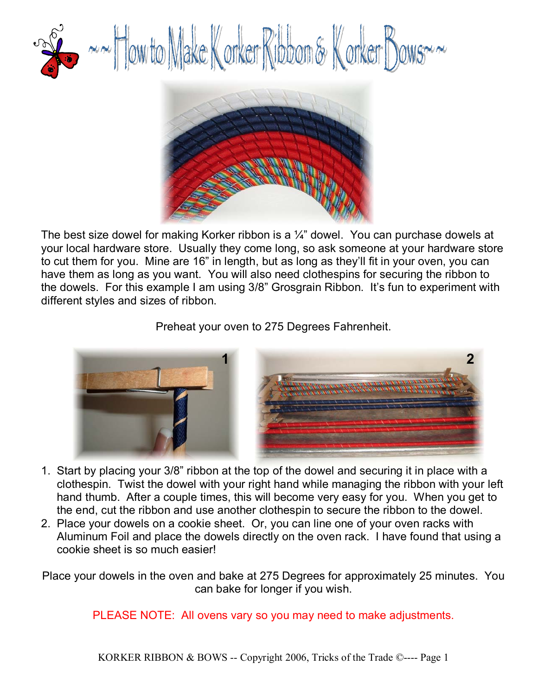

The best size dowel for making Korker ribbon is a  $\frac{1}{4}$  dowel. You can purchase dowels at your local hardware store. Usually they come long, so ask someone at your hardware store to cut them for you. Mine are 16" in length, but as long as they'll fit in your oven, you can have them as long as you want. You will also need clothespins for securing the ribbon to the dowels. For this example I am using 3/8" Grosgrain Ribbon. It's fun to experiment with different styles and sizes of ribbon.

#### Preheat your oven to 275 Degrees Fahrenheit.



- 1. Start by placing your 3/8" ribbon at the top of the dowel and securing it in place with a clothespin. Twist the dowel with your right hand while managing the ribbon with your left hand thumb. After a couple times, this will become very easy for you. When you get to the end, cut the ribbon and use another clothespin to secure the ribbon to the dowel.
- 2. Place your dowels on a cookie sheet. Or, you can line one of your oven racks with Aluminum Foil and place the dowels directly on the oven rack. I have found that using a cookie sheet is so much easier!

Place your dowels in the oven and bake at 275 Degrees for approximately 25 minutes. You can bake for longer if you wish.

PLEASE NOTE: All ovens vary so you may need to make adjustments.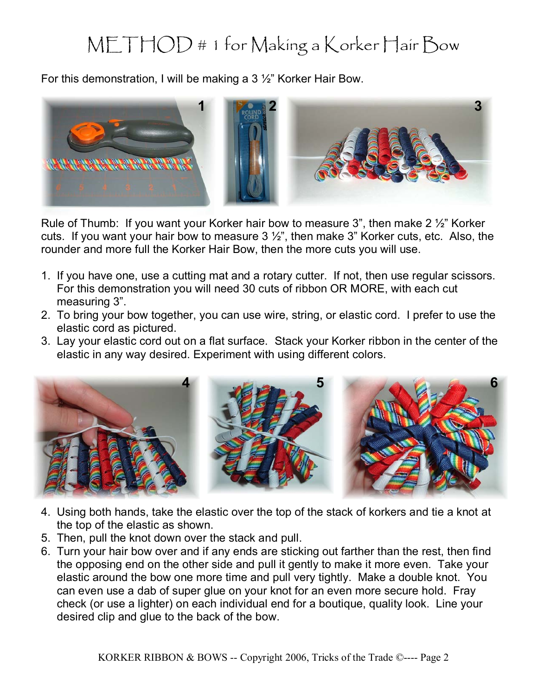### METHOD # 1 for Making a Korker Hair Bow

For this demonstration, I will be making a 3 ½" Korker Hair Bow.



Rule of Thumb: If you want your Korker hair bow to measure 3", then make 2 ½" Korker cuts. If you want your hair bow to measure  $3\frac{1}{2}$ , then make  $3$ " Korker cuts, etc. Also, the rounder and more full the Korker Hair Bow, then the more cuts you will use.

- 1. If you have one, use a cutting mat and a rotary cutter. If not, then use regular scissors. For this demonstration you will need 30 cuts of ribbon OR MORE, with each cut measuring 3".
- 2. To bring your bow together, you can use wire, string, or elastic cord. I prefer to use the elastic cord as pictured.
- 3. Lay your elastic cord out on a flat surface. Stack your Korker ribbon in the center of the elastic in any way desired. Experiment with using different colors.



- 4. Using both hands, take the elastic over the top of the stack of korkers and tie a knot at the top of the elastic as shown.
- 5. Then, pull the knot down over the stack and pull.
- 6. Turn your hair bow over and if any ends are sticking out farther than the rest, then find the opposing end on the other side and pull it gently to make it more even. Take your elastic around the bow one more time and pull very tightly. Make a double knot. You can even use a dab of super glue on your knot for an even more secure hold. Fray check (or use a lighter) on each individual end for a boutique, quality look. Line your desired clip and glue to the back of the bow.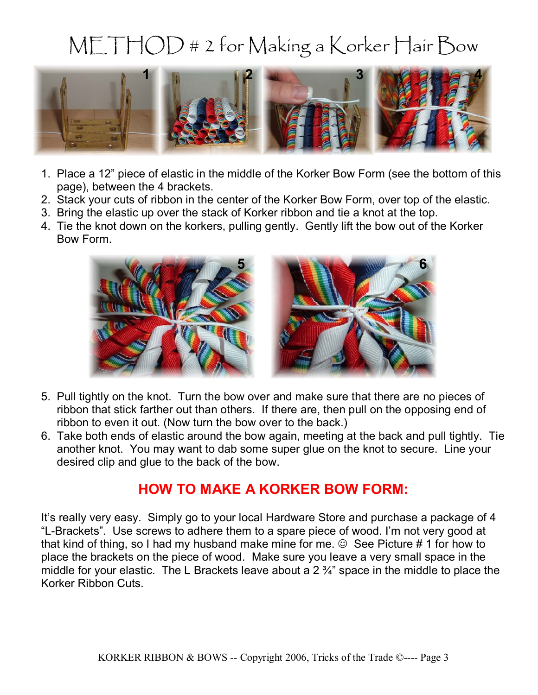# METHOD # 2 for Making a Korker Hair Bow



- 1. Place a 12" piece of elastic in the middle of the Korker Bow Form (see the bottom of this page), between the 4 brackets.
- 2. Stack your cuts of ribbon in the center of the Korker Bow Form, over top of the elastic.
- 3. Bring the elastic up over the stack of Korker ribbon and tie a knot at the top.
- 4. Tie the knot down on the korkers, pulling gently. Gently lift the bow out of the Korker Bow Form.



- 5. Pull tightly on the knot. Turn the bow over and make sure that there are no pieces of ribbon that stick farther out than others. If there are, then pull on the opposing end of ribbon to even it out. (Now turn the bow over to the back.)
- 6. Take both ends of elastic around the bow again, meeting at the back and pull tightly. Tie another knot. You may want to dab some super glue on the knot to secure. Line your desired clip and glue to the back of the bow.

#### **HOW TO MAKE A KORKER BOW FORM:**

It's really very easy. Simply go to your local Hardware Store and purchase a package of 4 "L-Brackets". Use screws to adhere them to a spare piece of wood. I'm not very good at that kind of thing, so I had my husband make mine for me.  $\odot$  See Picture # 1 for how to place the brackets on the piece of wood. Make sure you leave a very small space in the middle for your elastic. The L Brackets leave about a 2 ¾" space in the middle to place the Korker Ribbon Cuts.